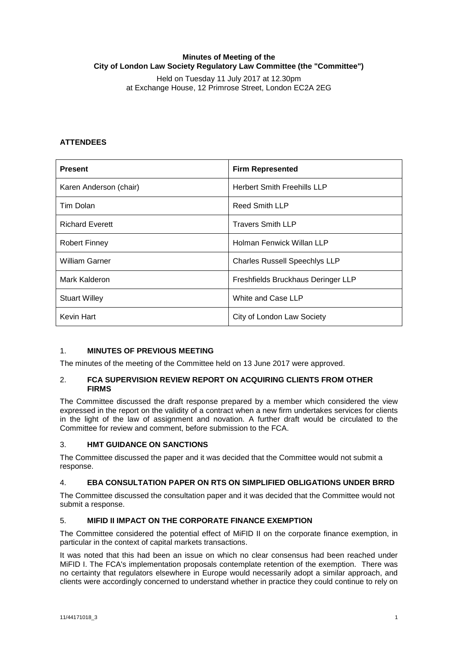## **Minutes of Meeting of the City of London Law Society Regulatory Law Committee (the "Committee")**

Held on Tuesday 11 July 2017 at 12.30pm at Exchange House, 12 Primrose Street, London EC2A 2EG

# **ATTENDEES**

| <b>Present</b>         | <b>Firm Represented</b>              |
|------------------------|--------------------------------------|
| Karen Anderson (chair) | <b>Herbert Smith Freehills LLP</b>   |
| Tim Dolan              | <b>Reed Smith LLP</b>                |
| <b>Richard Everett</b> | <b>Travers Smith LLP</b>             |
| Robert Finney          | Holman Fenwick Willan LLP            |
| <b>William Garner</b>  | <b>Charles Russell Speechlys LLP</b> |
| Mark Kalderon          | Freshfields Bruckhaus Deringer LLP   |
| <b>Stuart Willey</b>   | White and Case LLP                   |
| <b>Kevin Hart</b>      | City of London Law Society           |

## 1. **MINUTES OF PREVIOUS MEETING**

The minutes of the meeting of the Committee held on 13 June 2017 were approved.

## 2. **FCA SUPERVISION REVIEW REPORT ON ACQUIRING CLIENTS FROM OTHER FIRMS**

The Committee discussed the draft response prepared by a member which considered the view expressed in the report on the validity of a contract when a new firm undertakes services for clients in the light of the law of assignment and novation. A further draft would be circulated to the Committee for review and comment, before submission to the FCA.

## 3. **HMT GUIDANCE ON SANCTIONS**

The Committee discussed the paper and it was decided that the Committee would not submit a response.

## 4. **EBA CONSULTATION PAPER ON RTS ON SIMPLIFIED OBLIGATIONS UNDER BRRD**

The Committee discussed the consultation paper and it was decided that the Committee would not submit a response.

## 5. **MIFID II IMPACT ON THE CORPORATE FINANCE EXEMPTION**

The Committee considered the potential effect of MiFID II on the corporate finance exemption, in particular in the context of capital markets transactions.

It was noted that this had been an issue on which no clear consensus had been reached under MiFID I. The FCA's implementation proposals contemplate retention of the exemption. There was no certainty that regulators elsewhere in Europe would necessarily adopt a similar approach, and clients were accordingly concerned to understand whether in practice they could continue to rely on